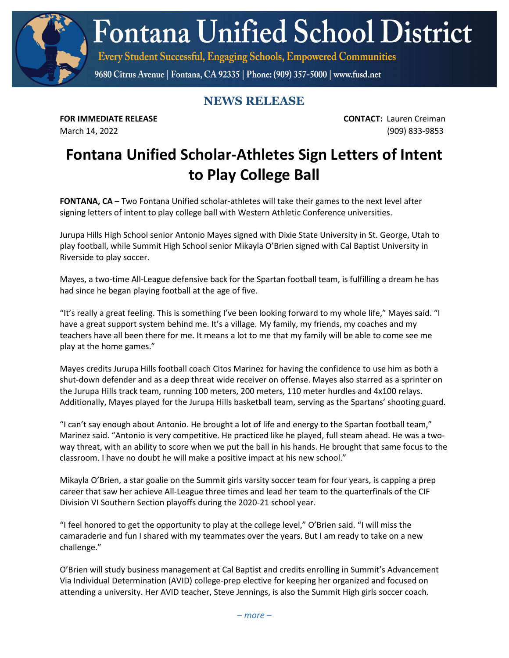**Fontana Unified School District** 

Every Student Successful, Engaging Schools, Empowered Communities

9680 Citrus Avenue | Fontana, CA 92335 | Phone: (909) 357-5000 | www.fusd.net

## **NEWS RELEASE**

**FOR IMMEDIATE RELEASE CONTACT:** Lauren Creiman March 14, 2022 (909) 833-9853

## **Fontana Unified Scholar-Athletes Sign Letters of Intent to Play College Ball**

**FONTANA, CA** – Two Fontana Unified scholar-athletes will take their games to the next level after signing letters of intent to play college ball with Western Athletic Conference universities.

Jurupa Hills High School senior Antonio Mayes signed with Dixie State University in St. George, Utah to play football, while Summit High School senior Mikayla O'Brien signed with Cal Baptist University in Riverside to play soccer.

Mayes, a two-time All-League defensive back for the Spartan football team, is fulfilling a dream he has had since he began playing football at the age of five.

"It's really a great feeling. This is something I've been looking forward to my whole life," Mayes said. "I have a great support system behind me. It's a village. My family, my friends, my coaches and my teachers have all been there for me. It means a lot to me that my family will be able to come see me play at the home games."

Mayes credits Jurupa Hills football coach Citos Marinez for having the confidence to use him as both a shut-down defender and as a deep threat wide receiver on offense. Mayes also starred as a sprinter on the Jurupa Hills track team, running 100 meters, 200 meters, 110 meter hurdles and 4x100 relays. Additionally, Mayes played for the Jurupa Hills basketball team, serving as the Spartans' shooting guard.

"I can't say enough about Antonio. He brought a lot of life and energy to the Spartan football team," Marinez said. "Antonio is very competitive. He practiced like he played, full steam ahead. He was a twoway threat, with an ability to score when we put the ball in his hands. He brought that same focus to the classroom. I have no doubt he will make a positive impact at his new school."

Mikayla O'Brien, a star goalie on the Summit girls varsity soccer team for four years, is capping a prep career that saw her achieve All-League three times and lead her team to the quarterfinals of the CIF Division VI Southern Section playoffs during the 2020-21 school year.

"I feel honored to get the opportunity to play at the college level," O'Brien said. "I will miss the camaraderie and fun I shared with my teammates over the years. But I am ready to take on a new challenge."

O'Brien will study business management at Cal Baptist and credits enrolling in Summit's Advancement Via Individual Determination (AVID) college-prep elective for keeping her organized and focused on attending a university. Her AVID teacher, Steve Jennings, is also the Summit High girls soccer coach.